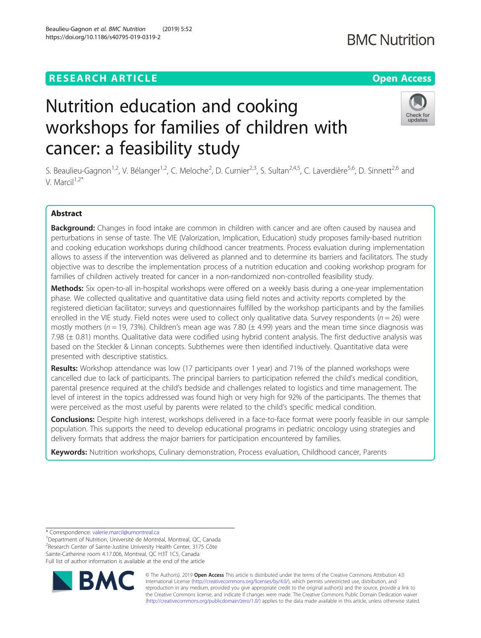# **RESEARCH ARTICLE Example 2014 12:30 The Contract of Contract ACCESS**

# Nutrition education and cooking workshops for families of children with cancer: a feasibility study

S. Beaulieu-Gagnon<sup>1,2</sup>, V. Bélanger<sup>1,2</sup>, C. Meloche<sup>2</sup>, D. Curnier<sup>2,3</sup>, S. Sultan<sup>2,4,5</sup>, C. Laverdière<sup>5,6</sup>, D. Sinnett<sup>2,6</sup> and V. Marcil<sup>1,2\*</sup>

# Abstract

Background: Changes in food intake are common in children with cancer and are often caused by nausea and perturbations in sense of taste. The VIE (Valorization, Implication, Education) study proposes family-based nutrition and cooking education workshops during childhood cancer treatments. Process evaluation during implementation allows to assess if the intervention was delivered as planned and to determine its barriers and facilitators. The study objective was to describe the implementation process of a nutrition education and cooking workshop program for families of children actively treated for cancer in a non-randomized non-controlled feasibility study.

**Methods:** Six open-to-all in-hospital workshops were offered on a weekly basis during a one-year implementation phase. We collected qualitative and quantitative data using field notes and activity reports completed by the registered dietician facilitator; surveys and questionnaires fulfilled by the workshop participants and by the families enrolled in the VIE study. Field notes were used to collect only qualitative data. Survey respondents ( $n = 26$ ) were mostly mothers ( $n = 19$ , 73%). Children's mean age was 7.80 ( $\pm$  4.99) years and the mean time since diagnosis was 7.98 (± 0.81) months. Qualitative data were codified using hybrid content analysis. The first deductive analysis was based on the Steckler & Linnan concepts. Subthemes were then identified inductively. Quantitative data were presented with descriptive statistics.

Results: Workshop attendance was low (17 participants over 1 year) and 71% of the planned workshops were cancelled due to lack of participants. The principal barriers to participation referred the child's medical condition, parental presence required at the child's bedside and challenges related to logistics and time management. The level of interest in the topics addressed was found high or very high for 92% of the participants. The themes that were perceived as the most useful by parents were related to the child's specific medical condition.

Conclusions: Despite high interest, workshops delivered in a face-to-face format were poorly feasible in our sample population. This supports the need to develop educational programs in pediatric oncology using strategies and delivery formats that address the major barriers for participation encountered by families.

Keywords: Nutrition workshops, Culinary demonstration, Process evaluation, Childhood cancer, Parents

<sup>1</sup>Department of Nutrition, Université de Montréal, Montreal, QC, Canada <sup>2</sup>Research Center of Sainte-Justine University Health Center, 3175 Côte Sainte-Catherine room 4.17.006, Montreal, QC H3T 1C5, Canada Full list of author information is available at the end of the article

> © The Author(s). 2019 **Open Access** This article is distributed under the terms of the Creative Commons Attribution 4.0 International License [\(http://creativecommons.org/licenses/by/4.0/](http://creativecommons.org/licenses/by/4.0/)), which permits unrestricted use, distribution, and reproduction in any medium, provided you give appropriate credit to the original author(s) and the source, provide a link to the Creative Commons license, and indicate if changes were made. The Creative Commons Public Domain Dedication waiver [\(http://creativecommons.org/publicdomain/zero/1.0/](http://creativecommons.org/publicdomain/zero/1.0/)) applies to the data made available in this article, unless otherwise stated.





# **BMC Nutrition**

<sup>\*</sup> Correspondence: [valerie.marcil@umontreal.ca](mailto:valerie.marcil@umontreal.ca) <sup>1</sup>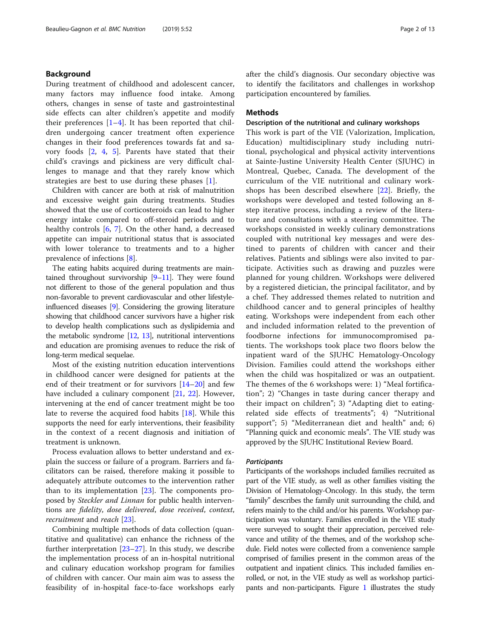# Background

During treatment of childhood and adolescent cancer, many factors may influence food intake. Among others, changes in sense of taste and gastrointestinal side effects can alter children's appetite and modify their preferences  $[1-4]$  $[1-4]$  $[1-4]$  $[1-4]$ . It has been reported that children undergoing cancer treatment often experience changes in their food preferences towards fat and savory foods [[2,](#page-11-0) [4,](#page-11-0) [5](#page-11-0)]. Parents have stated that their child's cravings and pickiness are very difficult challenges to manage and that they rarely know which strategies are best to use during these phases [\[1](#page-11-0)].

Children with cancer are both at risk of malnutrition and excessive weight gain during treatments. Studies showed that the use of corticosteroids can lead to higher energy intake compared to off-steroid periods and to healthy controls [[6,](#page-11-0) [7\]](#page-11-0). On the other hand, a decreased appetite can impair nutritional status that is associated with lower tolerance to treatments and to a higher prevalence of infections [[8\]](#page-11-0).

The eating habits acquired during treatments are maintained throughout survivorship [\[9](#page-11-0)–[11\]](#page-11-0). They were found not different to those of the general population and thus non-favorable to prevent cardiovascular and other lifestyleinfluenced diseases [[9](#page-11-0)]. Considering the growing literature showing that childhood cancer survivors have a higher risk to develop health complications such as dyslipidemia and the metabolic syndrome [\[12,](#page-11-0) [13](#page-11-0)], nutritional interventions and education are promising avenues to reduce the risk of long-term medical sequelae.

Most of the existing nutrition education interventions in childhood cancer were designed for patients at the end of their treatment or for survivors [\[14](#page-11-0)–[20\]](#page-11-0) and few have included a culinary component [[21,](#page-11-0) [22\]](#page-11-0). However, intervening at the end of cancer treatment might be too late to reverse the acquired food habits [\[18](#page-11-0)]. While this supports the need for early interventions, their feasibility in the context of a recent diagnosis and initiation of treatment is unknown.

Process evaluation allows to better understand and explain the success or failure of a program. Barriers and facilitators can be raised, therefore making it possible to adequately attribute outcomes to the intervention rather than to its implementation  $[23]$  $[23]$ . The components proposed by Steckler and Linnan for public health interventions are fidelity, dose delivered, dose received, context, recruitment and reach [\[23](#page-11-0)].

Combining multiple methods of data collection (quantitative and qualitative) can enhance the richness of the further interpretation [\[23](#page-11-0)–[27\]](#page-11-0). In this study, we describe the implementation process of an in-hospital nutritional and culinary education workshop program for families of children with cancer. Our main aim was to assess the feasibility of in-hospital face-to-face workshops early after the child's diagnosis. Our secondary objective was to identify the facilitators and challenges in workshop participation encountered by families.

# **Methods**

#### Description of the nutritional and culinary workshops

This work is part of the VIE (Valorization, Implication, Education) multidisciplinary study including nutritional, psychological and physical activity interventions at Sainte-Justine University Health Center (SJUHC) in Montreal, Quebec, Canada. The development of the curriculum of the VIE nutritional and culinary workshops has been described elsewhere [[22\]](#page-11-0). Briefly, the workshops were developed and tested following an 8 step iterative process, including a review of the literature and consultations with a steering committee. The workshops consisted in weekly culinary demonstrations coupled with nutritional key messages and were destined to parents of children with cancer and their relatives. Patients and siblings were also invited to participate. Activities such as drawing and puzzles were planned for young children. Workshops were delivered by a registered dietician, the principal facilitator, and by a chef. They addressed themes related to nutrition and childhood cancer and to general principles of healthy eating. Workshops were independent from each other and included information related to the prevention of foodborne infections for immunocompromised patients. The workshops took place two floors below the inpatient ward of the SJUHC Hematology-Oncology Division. Families could attend the workshops either when the child was hospitalized or was an outpatient. The themes of the 6 workshops were: 1) "Meal fortification"; 2) "Changes in taste during cancer therapy and their impact on children"; 3) "Adapting diet to eatingrelated side effects of treatments"; 4) "Nutritional support"; 5) "Mediterranean diet and health" and; 6) "Planning quick and economic meals". The VIE study was approved by the SJUHC Institutional Review Board.

#### **Participants**

Participants of the workshops included families recruited as part of the VIE study, as well as other families visiting the Division of Hematology-Oncology. In this study, the term "family" describes the family unit surrounding the child, and refers mainly to the child and/or his parents. Workshop participation was voluntary. Families enrolled in the VIE study were surveyed to sought their appreciation, perceived relevance and utility of the themes, and of the workshop schedule. Field notes were collected from a convenience sample comprised of families present in the common areas of the outpatient and inpatient clinics. This included families enrolled, or not, in the VIE study as well as workshop participants and non-participants. Figure [1](#page-2-0) illustrates the study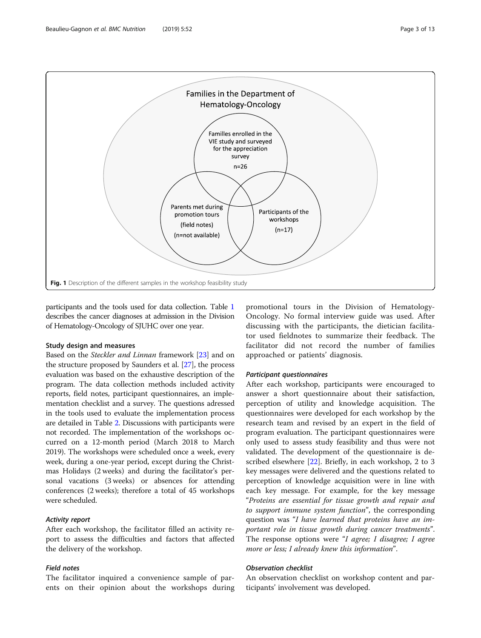<span id="page-2-0"></span>

participants and the tools used for data collection. Table [1](#page-3-0) describes the cancer diagnoses at admission in the Division of Hematology-Oncology of SJUHC over one year.

#### Study design and measures

Based on the *Steckler and Linnan* framework [\[23\]](#page-11-0) and on the structure proposed by Saunders et al. [[27](#page-11-0)], the process evaluation was based on the exhaustive description of the program. The data collection methods included activity reports, field notes, participant questionnaires, an implementation checklist and a survey. The questions adressed in the tools used to evaluate the implementation process are detailed in Table [2.](#page-4-0) Discussions with participants were not recorded. The implementation of the workshops occurred on a 12-month period (March 2018 to March 2019). The workshops were scheduled once a week, every week, during a one-year period, except during the Christmas Holidays (2 weeks) and during the facilitator's personal vacations (3 weeks) or absences for attending conferences (2 weeks); therefore a total of 45 workshops were scheduled.

# Activity report

After each workshop, the facilitator filled an activity report to assess the difficulties and factors that affected the delivery of the workshop.

# Field notes

The facilitator inquired a convenience sample of parents on their opinion about the workshops during

promotional tours in the Division of Hematology-Oncology. No formal interview guide was used. After discussing with the participants, the dietician facilitator used fieldnotes to summarize their feedback. The facilitator did not record the number of families approached or patients' diagnosis.

#### Participant questionnaires

After each workshop, participants were encouraged to answer a short questionnaire about their satisfaction, perception of utility and knowledge acquisition. The questionnaires were developed for each workshop by the research team and revised by an expert in the field of program evaluation. The participant questionnaires were only used to assess study feasibility and thus were not validated. The development of the questionnaire is described elsewhere [[22\]](#page-11-0). Briefly, in each workshop, 2 to 3 key messages were delivered and the questions related to perception of knowledge acquisition were in line with each key message. For example, for the key message "Proteins are essential for tissue growth and repair and to support immune system function", the corresponding question was "I have learned that proteins have an important role in tissue growth during cancer treatments". The response options were "I agree; I disagree; I agree more or less; I already knew this information".

# Observation checklist

An observation checklist on workshop content and participants' involvement was developed.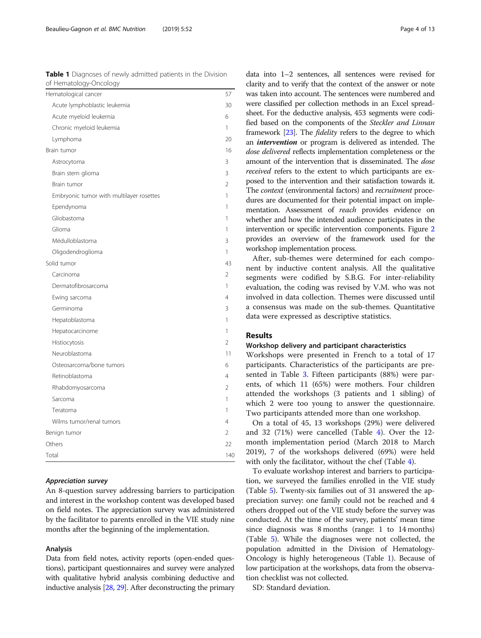| ricmatology oncology                     |                |
|------------------------------------------|----------------|
| Hematological cancer                     | 57             |
| Acute lymphoblastic leukemia             | 30             |
| Acute myeloid leukemia                   | 6              |
| Chronic myeloid leukemia                 | 1              |
| Lymphoma                                 | 20             |
| Brain tumor                              | 16             |
| Astrocytoma                              | 3              |
| Brain stem glioma                        | 3              |
| Brain tumor                              | $\mathcal{P}$  |
| Embryonic tumor with multilayer rosettes | 1              |
| Ependynoma                               | 1              |
| Gliobastoma                              | 1              |
| Glioma                                   | 1              |
| Médulloblastoma                          | 3              |
| Oligodendroglioma                        | 1              |
| Solid tumor                              | 43             |
| Carcinoma                                | $\overline{2}$ |
| Dermatofibrosarcoma                      | 1              |
| Ewing sarcoma                            | 4              |
| Germinoma                                | 3              |
| Hepatoblastoma                           | 1              |
| Hepatocarcinome                          | 1              |
| Histiocytosis                            | 2              |
| Neuroblastoma                            | 11             |
| Osteosarcoma/bone tumors                 | 6              |
| Retinoblastoma                           | 4              |
| Rhabdomyosarcoma                         | 2              |
| Sarcoma                                  | 1              |
| Teratoma                                 | 1              |
| Wilms tumor/renal tumors                 | 4              |
| Benign tumor                             | $\overline{2}$ |
| Others                                   | 22             |
| Total                                    | 140            |

# <span id="page-3-0"></span>Table 1 Diagnoses of newly admitted patients in the Division of Hematology-Oncology

#### Appreciation survey

An 8-question survey addressing barriers to participation and interest in the workshop content was developed based on field notes. The appreciation survey was administered by the facilitator to parents enrolled in the VIE study nine months after the beginning of the implementation.

# Analysis

Data from field notes, activity reports (open-ended questions), participant questionnaires and survey were analyzed with qualitative hybrid analysis combining deductive and inductive analysis [\[28,](#page-11-0) [29\]](#page-11-0). After deconstructing the primary

data into 1–2 sentences, all sentences were revised for clarity and to verify that the context of the answer or note was taken into account. The sentences were numbered and were classified per collection methods in an Excel spreadsheet. For the deductive analysis, 453 segments were codified based on the components of the Steckler and Linnan framework [[23](#page-11-0)]. The fidelity refers to the degree to which an intervention or program is delivered as intended. The dose delivered reflects implementation completeness or the amount of the intervention that is disseminated. The dose received refers to the extent to which participants are exposed to the intervention and their satisfaction towards it. The context (environmental factors) and recruitment procedures are documented for their potential impact on implementation. Assessment of reach provides evidence on whether and how the intended audience participates in the intervention or specific intervention components. Figure [2](#page-5-0) provides an overview of the framework used for the workshop implementation process.

After, sub-themes were determined for each component by inductive content analysis. All the qualitative segments were codified by S.B.G. For inter-reliability evaluation, the coding was revised by V.M. who was not involved in data collection. Themes were discussed until a consensus was made on the sub-themes. Quantitative data were expressed as descriptive statistics.

# Results

#### Workshop delivery and participant characteristics

Workshops were presented in French to a total of 17 participants. Characteristics of the participants are presented in Table [3.](#page-5-0) Fifteen participants (88%) were parents, of which 11 (65%) were mothers. Four children attended the workshops (3 patients and 1 sibling) of which 2 were too young to answer the questionnaire. Two participants attended more than one workshop.

On a total of 45, 13 workshops (29%) were delivered and 32 (71%) were cancelled (Table [4](#page-6-0)). Over the 12 month implementation period (March 2018 to March 2019), 7 of the workshops delivered (69%) were held with only the facilitator, without the chef (Table [4\)](#page-6-0).

To evaluate workshop interest and barriers to participation, we surveyed the families enrolled in the VIE study (Table [5](#page-6-0)). Twenty-six families out of 31 answered the appreciation survey: one family could not be reached and 4 others dropped out of the VIE study before the survey was conducted. At the time of the survey, patients' mean time since diagnosis was 8 months (range: 1 to 14 months) (Table [5](#page-6-0)). While the diagnoses were not collected, the population admitted in the Division of Hematology-Oncology is highly heterogeneous (Table 1). Because of low participation at the workshops, data from the observation checklist was not collected.

SD: Standard deviation.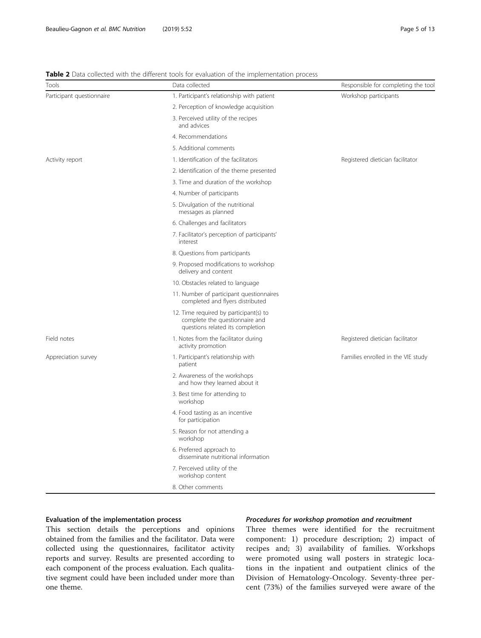# <span id="page-4-0"></span>**Table 2** Data collected with the different tools for evaluation of the implementation process

| Tools                     | Data collected                                                                                               | Responsible for completing the tool |
|---------------------------|--------------------------------------------------------------------------------------------------------------|-------------------------------------|
| Participant questionnaire | 1. Participant's relationship with patient                                                                   | Workshop participants               |
|                           | 2. Perception of knowledge acquisition                                                                       |                                     |
|                           | 3. Perceived utility of the recipes<br>and advices                                                           |                                     |
|                           | 4. Recommendations                                                                                           |                                     |
|                           | 5. Additional comments                                                                                       |                                     |
| Activity report           | 1. Identification of the facilitators                                                                        | Registered dietician facilitator    |
|                           | 2. Identification of the theme presented                                                                     |                                     |
|                           | 3. Time and duration of the workshop                                                                         |                                     |
|                           | 4. Number of participants                                                                                    |                                     |
|                           | 5. Divulgation of the nutritional<br>messages as planned                                                     |                                     |
|                           | 6. Challenges and facilitators                                                                               |                                     |
|                           | 7. Facilitator's perception of participants'<br>interest                                                     |                                     |
|                           | 8. Questions from participants                                                                               |                                     |
|                           | 9. Proposed modifications to workshop<br>delivery and content                                                |                                     |
|                           | 10. Obstacles related to language                                                                            |                                     |
|                           | 11. Number of participant questionnaires<br>completed and flyers distributed                                 |                                     |
|                           | 12. Time required by participant(s) to<br>complete the questionnaire and<br>questions related its completion |                                     |
| Field notes               | 1. Notes from the facilitator during<br>activity promotion                                                   | Registered dietician facilitator    |
| Appreciation survey       | 1. Participant's relationship with<br>patient                                                                | Families enrolled in the VIE study  |
|                           | 2. Awareness of the workshops<br>and how they learned about it                                               |                                     |
|                           | 3. Best time for attending to<br>workshop                                                                    |                                     |
|                           | 4. Food tasting as an incentive<br>for participation                                                         |                                     |
|                           | 5. Reason for not attending a<br>workshop                                                                    |                                     |
|                           | 6. Preferred approach to<br>disseminate nutritional information                                              |                                     |
|                           | 7. Perceived utility of the<br>workshop content                                                              |                                     |
|                           | 8. Other comments                                                                                            |                                     |

# Evaluation of the implementation process

This section details the perceptions and opinions obtained from the families and the facilitator. Data were collected using the questionnaires, facilitator activity reports and survey. Results are presented according to each component of the process evaluation. Each qualitative segment could have been included under more than one theme.

# Procedures for workshop promotion and recruitment

Three themes were identified for the recruitment component: 1) procedure description; 2) impact of recipes and; 3) availability of families. Workshops were promoted using wall posters in strategic locations in the inpatient and outpatient clinics of the Division of Hematology-Oncology. Seventy-three percent (73%) of the families surveyed were aware of the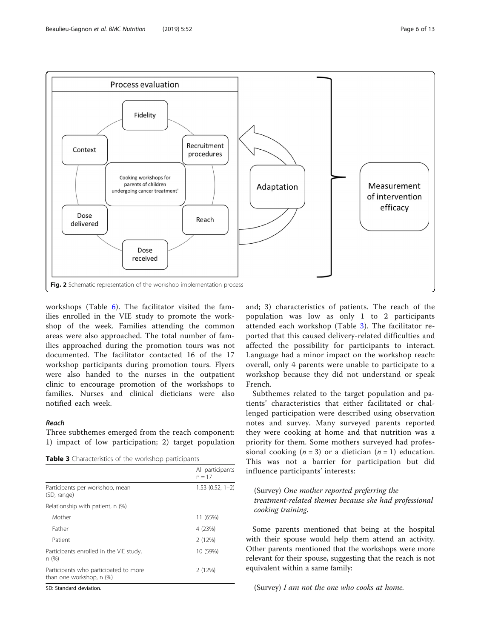<span id="page-5-0"></span>

workshops (Table [6](#page-7-0)). The facilitator visited the families enrolled in the VIE study to promote the workshop of the week. Families attending the common areas were also approached. The total number of families approached during the promotion tours was not documented. The facilitator contacted 16 of the 17 workshop participants during promotion tours. Flyers were also handed to the nurses in the outpatient clinic to encourage promotion of the workshops to families. Nurses and clinical dieticians were also notified each week.

# Reach

Three subthemes emerged from the reach component: 1) impact of low participation; 2) target population

Table 3 Characteristics of the workshop participants

|                                                                   | All participants<br>$n = 17$ |
|-------------------------------------------------------------------|------------------------------|
| Participants per workshop, mean<br>(SD, range)                    | $1.53(0.52, 1-2)$            |
| Relationship with patient, n (%)                                  |                              |
| Mother                                                            | 11 (65%)                     |
| Father                                                            | 4 (23%)                      |
| Patient                                                           | 2(12%)                       |
| Participants enrolled in the VIE study,<br>n(%)                   | 10 (59%)                     |
| Participants who participated to more<br>than one workshop, n (%) | 2(12%)                       |

SD: Standard deviation.

and; 3) characteristics of patients. The reach of the population was low as only 1 to 2 participants attended each workshop (Table 3). The facilitator reported that this caused delivery-related difficulties and affected the possibility for participants to interact. Language had a minor impact on the workshop reach: overall, only 4 parents were unable to participate to a workshop because they did not understand or speak French.

Subthemes related to the target population and patients' characteristics that either facilitated or challenged participation were described using observation notes and survey. Many surveyed parents reported they were cooking at home and that nutrition was a priority for them. Some mothers surveyed had professional cooking  $(n = 3)$  or a dietician  $(n = 1)$  education. This was not a barrier for participation but did influence participants' interests:

(Survey) One mother reported preferring the treatment-related themes because she had professional cooking training.

Some parents mentioned that being at the hospital with their spouse would help them attend an activity. Other parents mentioned that the workshops were more relevant for their spouse, suggesting that the reach is not equivalent within a same family:

(Survey) I am not the one who cooks at home.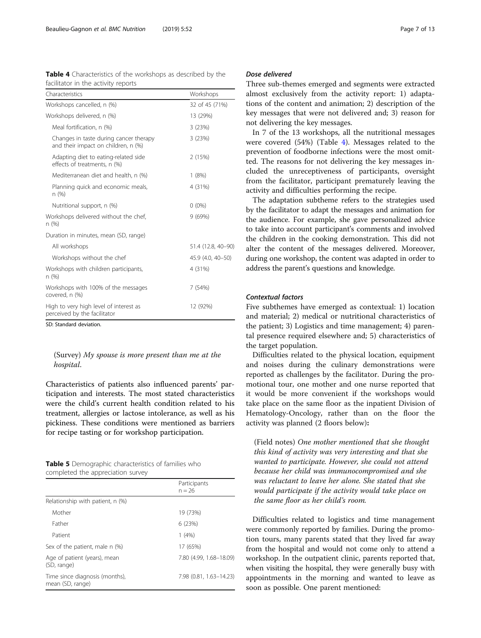<span id="page-6-0"></span>

| <b>Table 4</b> Characteristics of the workshops as described by the |  |  |  |
|---------------------------------------------------------------------|--|--|--|
| facilitator in the activity reports                                 |  |  |  |

| Characteristics                                                               | Workshops          |
|-------------------------------------------------------------------------------|--------------------|
| Workshops cancelled, n (%)                                                    | 32 of 45 (71%)     |
| Workshops delivered, n (%)                                                    | 13 (29%)           |
| Meal fortification, n (%)                                                     | 3(23%)             |
| Changes in taste during cancer therapy<br>and their impact on children, n (%) | 3(23%)             |
| Adapting diet to eating-related side<br>effects of treatments, n (%)          | 2(15%)             |
| Mediterranean diet and health, n (%)                                          | 1(8%)              |
| Planning quick and economic meals,<br>n (%)                                   | 4 (31%)            |
| Nutritional support, n (%)                                                    | $0(0\%)$           |
| Workshops delivered without the chef,<br>n(%)                                 | 9(69%)             |
| Duration in minutes, mean (SD, range)                                         |                    |
| All workshops                                                                 | 51.4 (12.8, 40-90) |
| Workshops without the chef                                                    | 45.9 (4.0, 40-50)  |
| Workshops with children participants,<br>n (%)                                | 4 (31%)            |
| Workshops with 100% of the messages<br>covered, n (%)                         | 7 (54%)            |
| High to very high level of interest as<br>perceived by the facilitator        | 12 (92%)           |

SD: Standard deviation.

(Survey) My spouse is more present than me at the hospital.

Characteristics of patients also influenced parents' participation and interests. The most stated characteristics were the child's current health condition related to his treatment, allergies or lactose intolerance, as well as his pickiness. These conditions were mentioned as barriers for recipe tasting or for workshop participation.

|  | <b>Table 5</b> Demographic characteristics of families who |  |
|--|------------------------------------------------------------|--|
|  | completed the appreciation survey                          |  |

|                                                    | Participants<br>$n = 26$ |
|----------------------------------------------------|--------------------------|
| Relationship with patient, n (%)                   |                          |
| Mother                                             | 19 (73%)                 |
| Father                                             | 6(23%)                   |
| Patient                                            | 1(4%)                    |
| Sex of the patient, male n (%)                     | 17 (65%)                 |
| Age of patient (years), mean<br>(SD, range)        | 7.80 (4.99, 1.68-18.09)  |
| Time since diagnosis (months),<br>mean (SD, range) | 7.98 (0.81, 1.63-14.23)  |

# Dose delivered

Three sub-themes emerged and segments were extracted almost exclusively from the activity report: 1) adaptations of the content and animation; 2) description of the key messages that were not delivered and; 3) reason for not delivering the key messages.

In 7 of the 13 workshops, all the nutritional messages were covered (54%) (Table 4). Messages related to the prevention of foodborne infections were the most omitted. The reasons for not delivering the key messages included the unreceptiveness of participants, oversight from the facilitator, participant prematurely leaving the activity and difficulties performing the recipe.

The adaptation subtheme refers to the strategies used by the facilitator to adapt the messages and animation for the audience. For example, she gave personalized advice to take into account participant's comments and involved the children in the cooking demonstration. This did not alter the content of the messages delivered. Moreover, during one workshop, the content was adapted in order to address the parent's questions and knowledge.

# Contextual factors

Five subthemes have emerged as contextual: 1) location and material; 2) medical or nutritional characteristics of the patient; 3) Logistics and time management; 4) parental presence required elsewhere and; 5) characteristics of the target population.

Difficulties related to the physical location, equipment and noises during the culinary demonstrations were reported as challenges by the facilitator. During the promotional tour, one mother and one nurse reported that it would be more convenient if the workshops would take place on the same floor as the inpatient Division of Hematology-Oncology, rather than on the floor the activity was planned (2 floors below):

(Field notes) One mother mentioned that she thought this kind of activity was very interesting and that she wanted to participate. However, she could not attend because her child was immunocompromised and she was reluctant to leave her alone. She stated that she would participate if the activity would take place on the same floor as her child's room.

Difficulties related to logistics and time management were commonly reported by families. During the promotion tours, many parents stated that they lived far away from the hospital and would not come only to attend a workshop. In the outpatient clinic, parents reported that, when visiting the hospital, they were generally busy with appointments in the morning and wanted to leave as soon as possible. One parent mentioned: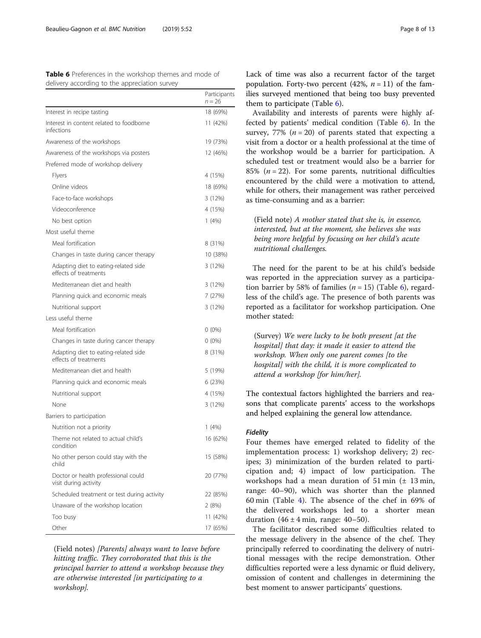<span id="page-7-0"></span>

| <b>Table 6</b> Preferences in the workshop themes and mode of |  |  |  |
|---------------------------------------------------------------|--|--|--|
| delivery according to the appreciation survey                 |  |  |  |

|                                                               | Participants<br>$n = 26$ |
|---------------------------------------------------------------|--------------------------|
| Interest in recipe tasting                                    | 18 (69%)                 |
| Interest in content related to foodborne<br>infections        | 11 (42%)                 |
| Awareness of the workshops                                    | 19 (73%)                 |
| Awareness of the workshops via posters                        | 12 (46%)                 |
| Preferred mode of workshop delivery                           |                          |
| Flyers                                                        | 4 (15%)                  |
| Online videos                                                 | 18 (69%)                 |
| Face-to-face workshops                                        | 3 (12%)                  |
| Videoconference                                               | 4 (15%)                  |
| No best option                                                | 1(4%)                    |
| Most useful theme                                             |                          |
| Meal fortification                                            | 8 (31%)                  |
| Changes in taste during cancer therapy                        | 10 (38%)                 |
| Adapting diet to eating-related side<br>effects of treatments | 3 (12%)                  |
| Mediterranean diet and health                                 | 3 (12%)                  |
| Planning quick and economic meals                             | 7 (27%)                  |
| Nutritional support                                           | 3 (12%)                  |
| Less useful theme                                             |                          |
| Meal fortification                                            | $0(0\%)$                 |
| Changes in taste during cancer therapy                        | $0(0\%)$                 |
| Adapting diet to eating-related side<br>effects of treatments | 8 (31%)                  |
| Mediterranean diet and health                                 | 5 (19%)                  |
| Planning quick and economic meals                             | 6 (23%)                  |
| Nutritional support                                           | 4 (15%)                  |
| None                                                          | 3 (12%)                  |
| Barriers to participation                                     |                          |
| Nutrition not a priority                                      | 1(4%)                    |
| Theme not related to actual child's<br>condition              | 16 (62%)                 |
| No other person could stay with the<br>child                  | 15 (58%)                 |
| Doctor or health professional could<br>visit during activity  | 20 (77%)                 |
| Scheduled treatment or test during activity                   | 22 (85%)                 |
| Unaware of the workshop location                              | 2 (8%)                   |
| Too busy                                                      | 11 (42%)                 |
| Other                                                         | 17 (65%)                 |

(Field notes) [Parents] always want to leave before hitting traffic. They corroborated that this is the principal barrier to attend a workshop because they are otherwise interested [in participating to a workshop].

Lack of time was also a recurrent factor of the target population. Forty-two percent (42%,  $n = 11$ ) of the families surveyed mentioned that being too busy prevented them to participate (Table 6).

Availability and interests of parents were highly affected by patients' medical condition (Table 6). In the survey, 77% ( $n = 20$ ) of parents stated that expecting a visit from a doctor or a health professional at the time of the workshop would be a barrier for participation. A scheduled test or treatment would also be a barrier for 85% ( $n = 22$ ). For some parents, nutritional difficulties encountered by the child were a motivation to attend, while for others, their management was rather perceived as time-consuming and as a barrier:

# (Field note) A mother stated that she is, in essence, interested, but at the moment, she believes she was being more helpful by focusing on her child's acute nutritional challenges.

The need for the parent to be at his child's bedside was reported in the appreciation survey as a participation barrier by 58% of families ( $n = 15$ ) (Table 6), regardless of the child's age. The presence of both parents was reported as a facilitator for workshop participation. One mother stated:

(Survey) We were lucky to be both present [at the hospital] that day: it made it easier to attend the workshop. When only one parent comes [to the hospital] with the child, it is more complicated to attend a workshop [for him/her].

The contextual factors highlighted the barriers and reasons that complicate parents' access to the workshops and helped explaining the general low attendance.

#### Fidelity

Four themes have emerged related to fidelity of the implementation process: 1) workshop delivery; 2) recipes; 3) minimization of the burden related to participation and; 4) impact of low participation. The workshops had a mean duration of 51 min  $(\pm 13 \text{ min},$ range: 40–90), which was shorter than the planned 60 min (Table [4](#page-6-0)). The absence of the chef in 69% of the delivered workshops led to a shorter mean duration  $(46 \pm 4 \text{ min}, \text{ range}: 40-50)$ .

The facilitator described some difficulties related to the message delivery in the absence of the chef. They principally referred to coordinating the delivery of nutritional messages with the recipe demonstration. Other difficulties reported were a less dynamic or fluid delivery, omission of content and challenges in determining the best moment to answer participants' questions.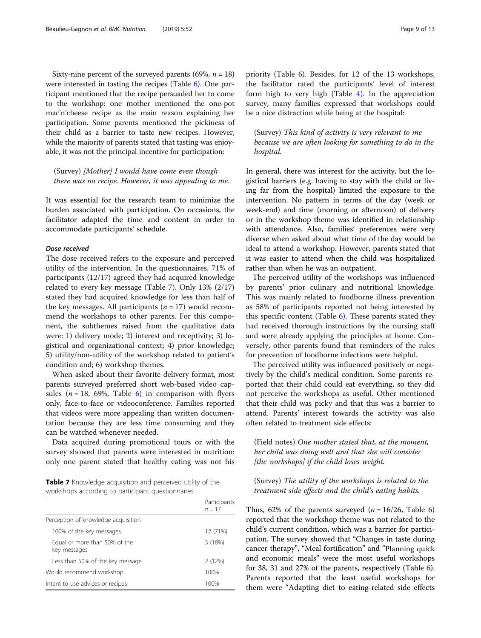Sixty-nine percent of the surveyed parents (69%,  $n = 18$ ) were interested in tasting the recipes (Table [6\)](#page-7-0). One participant mentioned that the recipe persuaded her to come to the workshop: one mother mentioned the one-pot mac'n'cheese recipe as the main reason explaining her participation. Some parents mentioned the pickiness of their child as a barrier to taste new recipes. However, while the majority of parents stated that tasting was enjoyable, it was not the principal incentive for participation:

(Survey) [Mother] I would have come even though there was no recipe. However, it was appealing to me.

It was essential for the research team to minimize the burden associated with participation. On occasions, the facilitator adapted the time and content in order to accommodate participants' schedule.

#### Dose received

The dose received refers to the exposure and perceived utility of the intervention. In the questionnaires, 71% of participants (12/17) agreed they had acquired knowledge related to every key message (Table 7). Only 13% (2/17) stated they had acquired knowledge for less than half of the key messages. All participants  $(n = 17)$  would recommend the workshops to other parents. For this component, the subthemes raised from the qualitative data were: 1) delivery mode; 2) interest and receptivity; 3) logistical and organizational context; 4) prior knowledge; 5) utility/non-utility of the workshop related to patient's condition and; 6) workshop themes.

When asked about their favorite delivery format, most parents surveyed preferred short web-based video capsules ( $n = 18$ , 69%, Table [6\)](#page-7-0) in comparison with flyers only, face-to-face or videoconference. Families reported that videos were more appealing than written documentation because they are less time consuming and they can be watched whenever needed.

Data acquired during promotional tours or with the survey showed that parents were interested in nutrition: only one parent stated that healthy eating was not his

Table 7 Knowledge acquisition and perceived utility of the workshops according to participant questionnaires

|                                               | Participants<br>$n = 17$ |
|-----------------------------------------------|--------------------------|
| Perception of knowledge acquisition           |                          |
| 100% of the key messages                      | 12 (71%)                 |
| Equal or more than 50% of the<br>key messages | 3(18%)                   |
| Less than 50% of the key message              | 2(12%)                   |
| Would recommend workshop                      | 100%                     |
| Intent to use advices or recipes              | 100%                     |

priority (Table [6](#page-7-0)). Besides, for 12 of the 13 workshops, the facilitator rated the participants' level of interest form high to very high (Table [4](#page-6-0)). In the appreciation survey, many families expressed that workshops could be a nice distraction while being at the hospital:

(Survey) This kind of activity is very relevant to me because we are often looking for something to do in the hospital.

In general, there was interest for the activity, but the logistical barriers (e.g. having to stay with the child or living far from the hospital) limited the exposure to the intervention. No pattern in terms of the day (week or week-end) and time (morning or afternoon) of delivery or in the workshop theme was identified in relationship with attendance. Also, families' preferences were very diverse when asked about what time of the day would be ideal to attend a workshop. However, parents stated that it was easier to attend when the child was hospitalized rather than when he was an outpatient.

The perceived utility of the workshops was influenced by parents' prior culinary and nutritional knowledge. This was mainly related to foodborne illness prevention as 58% of participants reported not being interested by this specific content (Table  $6$ ). These parents stated they had received thorough instructions by the nursing staff and were already applying the principles at home. Conversely, other parents found that reminders of the rules for prevention of foodborne infections were helpful.

The perceived utility was influenced positively or negatively by the child's medical condition. Some parents reported that their child could eat everything, so they did not perceive the workshops as useful. Other mentioned that their child was picky and that this was a barrier to attend. Parents' interest towards the activity was also often related to treatment side effects:

(Field notes) One mother stated that, at the moment, her child was doing well and that she will consider [the workshops] if the child loses weight.

# (Survey) The utility of the workshops is related to the treatment side effects and the child's eating habits.

Thus, [6](#page-7-0)2% of the parents surveyed  $(n = 16/26,$  Table 6) reported that the workshop theme was not related to the child's current condition, which was a barrier for participation. The survey showed that "Changes in taste during cancer therapy", "Meal fortification" and "Planning quick and economic meals" were the most useful workshops for 38, 31 and 27% of the parents, respectively (Table [6](#page-7-0)). Parents reported that the least useful workshops for them were "Adapting diet to eating-related side effects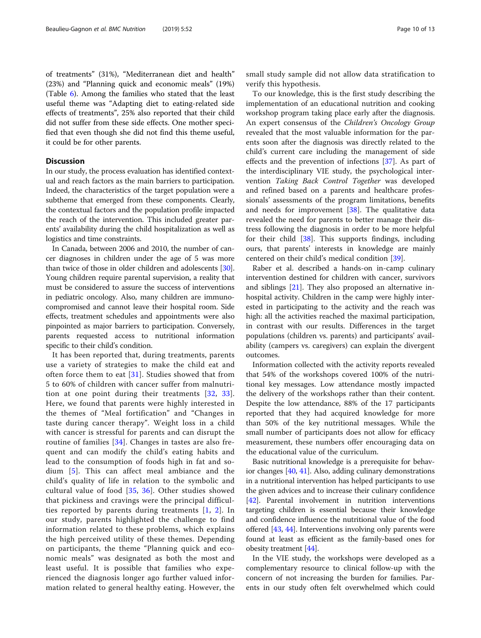of treatments" (31%), "Mediterranean diet and health" (23%) and "Planning quick and economic meals" (19%) (Table [6\)](#page-7-0). Among the families who stated that the least useful theme was "Adapting diet to eating-related side effects of treatments", 25% also reported that their child did not suffer from these side effects. One mother specified that even though she did not find this theme useful, it could be for other parents.

# **Discussion**

In our study, the process evaluation has identified contextual and reach factors as the main barriers to participation. Indeed, the characteristics of the target population were a subtheme that emerged from these components. Clearly, the contextual factors and the population profile impacted the reach of the intervention. This included greater parents' availability during the child hospitalization as well as logistics and time constraints.

In Canada, between 2006 and 2010, the number of cancer diagnoses in children under the age of 5 was more than twice of those in older children and adolescents [[30](#page-11-0)]. Young children require parental supervision, a reality that must be considered to assure the success of interventions in pediatric oncology. Also, many children are immunocompromised and cannot leave their hospital room. Side effects, treatment schedules and appointments were also pinpointed as major barriers to participation. Conversely, parents requested access to nutritional information specific to their child's condition.

It has been reported that, during treatments, parents use a variety of strategies to make the child eat and often force them to eat [\[31](#page-11-0)]. Studies showed that from 5 to 60% of children with cancer suffer from malnutrition at one point during their treatments [[32,](#page-11-0) [33](#page-11-0)]. Here, we found that parents were highly interested in the themes of "Meal fortification" and "Changes in taste during cancer therapy". Weight loss in a child with cancer is stressful for parents and can disrupt the routine of families [[34](#page-11-0)]. Changes in tastes are also frequent and can modify the child's eating habits and lead to the consumption of foods high in fat and sodium [\[5\]](#page-11-0). This can affect meal ambiance and the child's quality of life in relation to the symbolic and cultural value of food  $[35, 36]$  $[35, 36]$  $[35, 36]$  $[35, 36]$  $[35, 36]$ . Other studies showed that pickiness and cravings were the principal difficulties reported by parents during treatments [[1](#page-11-0), [2](#page-11-0)]. In our study, parents highlighted the challenge to find information related to these problems, which explains the high perceived utility of these themes. Depending on participants, the theme "Planning quick and economic meals" was designated as both the most and least useful. It is possible that families who experienced the diagnosis longer ago further valued information related to general healthy eating. However, the small study sample did not allow data stratification to verify this hypothesis.

To our knowledge, this is the first study describing the implementation of an educational nutrition and cooking workshop program taking place early after the diagnosis. An expert consensus of the Children's Oncology Group revealed that the most valuable information for the parents soon after the diagnosis was directly related to the child's current care including the management of side effects and the prevention of infections [[37](#page-11-0)]. As part of the interdisciplinary VIE study, the psychological intervention Taking Back Control Together was developed and refined based on a parents and healthcare professionals' assessments of the program limitations, benefits and needs for improvement [[38\]](#page-11-0). The qualitative data revealed the need for parents to better manage their distress following the diagnosis in order to be more helpful for their child [\[38](#page-11-0)]. This supports findings, including ours, that parents' interests in knowledge are mainly centered on their child's medical condition [[39\]](#page-11-0).

Raber et al. described a hands-on in-camp culinary intervention destined for children with cancer, survivors and siblings [\[21](#page-11-0)]. They also proposed an alternative inhospital activity. Children in the camp were highly interested in participating to the activity and the reach was high: all the activities reached the maximal participation, in contrast with our results. Differences in the target populations (children vs. parents) and participants' availability (campers vs. caregivers) can explain the divergent outcomes.

Information collected with the activity reports revealed that 54% of the workshops covered 100% of the nutritional key messages. Low attendance mostly impacted the delivery of the workshops rather than their content. Despite the low attendance, 88% of the 17 participants reported that they had acquired knowledge for more than 50% of the key nutritional messages. While the small number of participants does not allow for efficacy measurement, these numbers offer encouraging data on the educational value of the curriculum.

Basic nutritional knowledge is a prerequisite for behavior changes [\[40](#page-11-0), [41\]](#page-11-0). Also, adding culinary demonstrations in a nutritional intervention has helped participants to use the given advices and to increase their culinary confidence [[42](#page-11-0)]. Parental involvement in nutrition interventions targeting children is essential because their knowledge and confidence influence the nutritional value of the food offered [[43](#page-12-0), [44](#page-12-0)]. Interventions involving only parents were found at least as efficient as the family-based ones for obesity treatment [\[44\]](#page-12-0).

In the VIE study, the workshops were developed as a complementary resource to clinical follow-up with the concern of not increasing the burden for families. Parents in our study often felt overwhelmed which could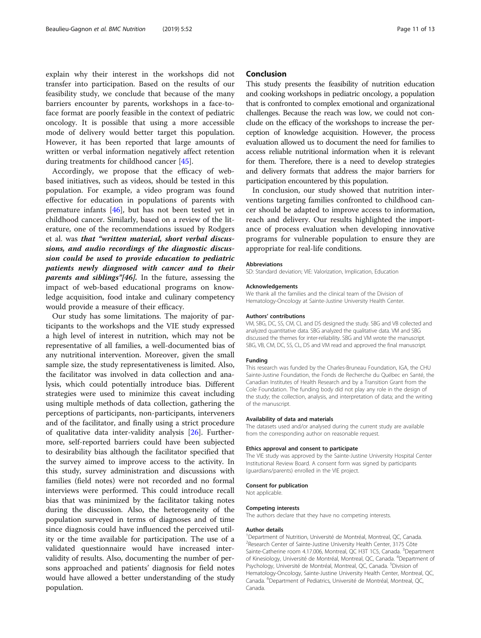explain why their interest in the workshops did not transfer into participation. Based on the results of our feasibility study, we conclude that because of the many barriers encounter by parents, workshops in a face-toface format are poorly feasible in the context of pediatric oncology. It is possible that using a more accessible mode of delivery would better target this population. However, it has been reported that large amounts of written or verbal information negatively affect retention during treatments for childhood cancer [\[45](#page-12-0)].

Accordingly, we propose that the efficacy of webbased initiatives, such as videos, should be tested in this population. For example, a video program was found effective for education in populations of parents with premature infants [\[46\]](#page-12-0), but has not been tested yet in childhood cancer. Similarly, based on a review of the literature, one of the recommendations issued by Rodgers et al. was that "written material, short verbal discussions, and audio recordings of the diagnostic discussion could be used to provide education to pediatric patients newly diagnosed with cancer and to their parents and siblings"[46]. In the future, assessing the impact of web-based educational programs on knowledge acquisition, food intake and culinary competency would provide a measure of their efficacy.

Our study has some limitations. The majority of participants to the workshops and the VIE study expressed a high level of interest in nutrition, which may not be representative of all families, a well-documented bias of any nutritional intervention. Moreover, given the small sample size, the study representativeness is limited. Also, the facilitator was involved in data collection and analysis, which could potentially introduce bias. Different strategies were used to minimize this caveat including using multiple methods of data collection, gathering the perceptions of participants, non-participants, interveners and of the facilitator, and finally using a strict procedure of qualitative data inter-validity analysis [\[26\]](#page-11-0). Furthermore, self-reported barriers could have been subjected to desirability bias although the facilitator specified that the survey aimed to improve access to the activity. In this study, survey administration and discussions with families (field notes) were not recorded and no formal interviews were performed. This could introduce recall bias that was minimized by the facilitator taking notes during the discussion. Also, the heterogeneity of the population surveyed in terms of diagnoses and of time since diagnosis could have influenced the perceived utility or the time available for participation. The use of a validated questionnaire would have increased intervalidity of results. Also, documenting the number of persons approached and patients' diagnosis for field notes would have allowed a better understanding of the study population.

# Conclusion

This study presents the feasibility of nutrition education and cooking workshops in pediatric oncology, a population that is confronted to complex emotional and organizational challenges. Because the reach was low, we could not conclude on the efficacy of the workshops to increase the perception of knowledge acquisition. However, the process evaluation allowed us to document the need for families to access reliable nutritional information when it is relevant for them. Therefore, there is a need to develop strategies and delivery formats that address the major barriers for participation encountered by this population.

In conclusion, our study showed that nutrition interventions targeting families confronted to childhood cancer should be adapted to improve access to information, reach and delivery. Our results highlighted the importance of process evaluation when developing innovative programs for vulnerable population to ensure they are appropriate for real-life conditions.

#### Abbreviations

SD: Standard deviation; VIE: Valorization, Implication, Education

#### Acknowledgements

We thank all the families and the clinical team of the Division of Hematology-Oncology at Sainte-Justine University Health Center.

#### Authors' contributions

VM, SBG, DC, SS, CM, CL and DS designed the study. SBG and VB collected and analyzed quantitative data. SBG analyzed the qualitative data. VM and SBG discussed the themes for inter-reliability. SBG and VM wrote the manuscript. SBG, VB, CM, DC, SS, CL, DS and VM read and approved the final manuscript.

#### Funding

This research was funded by the Charles-Bruneau Foundation, IGA, the CHU Sainte-Justine Foundation, the Fonds de Recherche du Québec en Santé, the Canadian Institutes of Health Research and by a Transition Grant from the Cole Foundation. The funding body did not play any role in the design of the study; the collection, analysis, and interpretation of data; and the writing of the manuscript.

#### Availability of data and materials

The datasets used and/or analysed during the current study are available from the corresponding author on reasonable request.

#### Ethics approval and consent to participate

The VIE study was approved by the Sainte-Justine University Hospital Center Institutional Review Board. A consent form was signed by participants (guardians/parents) enrolled in the VIE project.

#### Consent for publication

Not applicable.

#### Competing interests

The authors declare that they have no competing interests.

#### Author details

<sup>1</sup> Department of Nutrition, Université de Montréal, Montreal, QC, Canada <sup>2</sup>Research Center of Sainte-Justine University Health Center, 3175 Côte Sainte-Catherine room 4.17.006, Montreal, QC H3T 1C5, Canada. <sup>3</sup>Department of Kinesiology, Université de Montréal, Montreal, QC, Canada. <sup>4</sup>Department of Psychology, Université de Montréal, Montreal, QC, Canada. <sup>5</sup>Division of Hematology-Oncology, Sainte-Justine University Health Center, Montreal, QC, Canada. <sup>6</sup> Department of Pediatrics, Université de Montréal, Montreal, QC, Canada.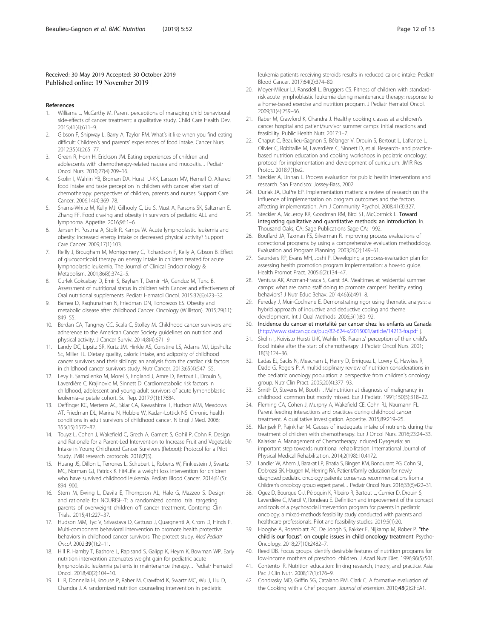#### <span id="page-11-0"></span>Received: 30 May 2019 Accepted: 30 October 2019 Published online: 19 November 2019

### References

- 1. Williams L, McCarthy M. Parent perceptions of managing child behavioural side-effects of cancer treatment: a qualitative study. Child Care Health Dev. 2015;41(4):611–9.
- 2. Gibson F, Shipway L, Barry A, Taylor RM. What's it like when you find eating difficult: Children's and parents' experiences of food intake. Cancer Nurs. 2012;35(4):265–77.
- Green R, Horn H, Erickson JM. Eating experiences of children and adolescents with chemotherapy-related nausea and mucositis. J Pediatr Oncol Nurs. 2010;27(4):209–16.
- 4. Skolin I, Wahlin YB, Broman DA, Hursti U-KK, Larsson MV, Hernell O. Altered food intake and taste perception in children with cancer after start of chemotherapy: perspectives of children, parents and nurses. Support Care Cancer. 2006;14(4):369–78.
- 5. Shams-White M, Kelly MJ, Gilhooly C, Liu S, Must A, Parsons SK, Saltzman E, Zhang FF. Food craving and obesity in survivors of pediatric ALL and lymphoma. Appetite. 2016;96:1–6.
- 6. Jansen H, Postma A, Stolk R, Kamps W. Acute lymphoblastic leukemia and obesity: increased energy intake or decreased physical activity? Support Care Cancer. 2009;17(1):103.
- 7. Reilly J, Brougham M, Montgomery C, Richardson F, Kelly A, Gibson B. Effect of glucocorticoid therapy on energy intake in children treated for acute lymphoblastic leukemia. The Journal of Clinical Endocrinology & Metabolism. 2001;86(8):3742–5.
- 8. Gurlek Gokcebay D, Emir S, Bayhan T, Demir HA, Gunduz M, Tunc B. Assessment of nutritional status in children with Cancer and effectiveness of Oral nutritional supplements. Pediatr Hematol Oncol. 2015;32(6):423–32.
- Barnea D, Raghunathan N, Friedman DN, Tonorezos ES. Obesity and metabolic disease after childhood Cancer. Oncology (Williston). 2015;29(11): 849–55.
- 10. Berdan CA, Tangney CC, Scala C, Stolley M. Childhood cancer survivors and adherence to the American Cancer Society guidelines on nutrition and physical activity. J Cancer Surviv. 2014;8(4):671–9.
- 11. Landy DC, Lipsitz SR, Kurtz JM, Hinkle AS, Constine LS, Adams MJ, Lipshultz SE, Miller TL. Dietary quality, caloric intake, and adiposity of childhood cancer survivors and their siblings: an analysis from the cardiac risk factors in childhood cancer survivors study. Nutr Cancer. 2013;65(4):547–55.
- 12. Levy E, Samoilenko M, Morel S, England J, Amre D, Bertout L, Drouin S, Laverdière C, Krajinovic M, Sinnett D. Cardiometabolic risk factors in childhood, adolescent and young adult survivors of acute lymphoblastic leukemia–a petale cohort. Sci Rep. 2017;7(1):17684.
- 13. Oeffinger KC, Mertens AC, Sklar CA, Kawashima T, Hudson MM, Meadows AT, Friedman DL, Marina N, Hobbie W, Kadan-Lottick NS. Chronic health conditions in adult survivors of childhood cancer. N Engl J Med. 2006; 355(15):1572–82.
- 14. Touyz L, Cohen J, Wakefield C, Grech A, Garnett S, Gohil P, Cohn R. Design and Rationale for a Parent-Led Intervention to Increase Fruit and Vegetable Intake in Young Childhood Cancer Survivors (Reboot): Protocol for a Pilot Study. JMIR research protocols. 2018;7(5).
- 15. Huang JS, Dillon L, Terrones L, Schubert L, Roberts W, Finklestein J, Swartz MC, Norman GJ, Patrick K. Fit4Life: a weight loss intervention for children who have survived childhood leukemia. Pediatr Blood Cancer. 2014;61(5): 894–900.
- 16. Stern M, Ewing L, Davila E, Thompson AL, Hale G, Mazzeo S. Design and rationale for NOURISH-T: a randomized control trial targeting parents of overweight children off cancer treatment. Contemp Clin Trials. 2015;41:227–37.
- 17. Hudson MM, Tyc V, Srivastava D, Gattuso J, Quargnenti A, Crom D, Hinds P. Multi-component behavioral intervention to promote health protective behaviors in childhood cancer survivors: The protect study. Med Pediatr Oncol. 2002;39(1):2–11.
- 18. Hill R, Hamby T, Bashore L, Rapisand S, Galipp K, Heym K, Bowman WP. Early nutrition intervention attenuates weight gain for pediatric acute lymphoblastic leukemia patients in maintenance therapy. J Pediatr Hematol Oncol. 2018;40(2):104–10.
- 19. Li R, Donnella H, Knouse P, Raber M, Crawford K, Swartz MC, Wu J, Liu D, Chandra J. A randomized nutrition counseling intervention in pediatric

leukemia patients receiving steroids results in reduced caloric intake. Pediatr Blood Cancer. 2017;64(2):374–80.

- 20. Moyer-Mileur LJ, Ransdell L, Bruggers CS. Fitness of children with standardrisk acute lymphoblastic leukemia during maintenance therapy: response to a home-based exercise and nutrition program. J Pediatr Hematol Oncol. 2009;31(4):259–66.
- 21. Raber M, Crawford K, Chandra J. Healthy cooking classes at a children's cancer hospital and patient/survivor summer camps: initial reactions and feasibility. Public Health Nutr. 2017:1–7.
- 22. Chaput C, Beaulieu-Gagnon S, Bélanger V, Drouin S, Bertout L, Lafrance L, Olivier C, Robitaille M, Laverdière C, Sinnett D, et al. Research- and practicebased nutrition education and cooking workshops in pediatric oncology: protocol for implementation and development of curriculum. JMIR Res Protoc. 2018;7(1):e2.
- 23. Steckler A, Linnan L. Process evaluation for public health interventions and research. San Francisco: Jossey-Bass, 2002.
- 24. Durlak JA, DuPre EP. Implementation matters: a review of research on the influence of implementation on program outcomes and the factors affecting implementation. Am J Community Psychol. 2008;41(3):327.
- 25. Steckler A, McLeroy KR, Goodman RM, Bird ST, McCormick L. Toward integrating qualitative and quantitative methods: an introduction. In. Thousand Oaks, CA: Sage Publications Sage CA; 1992.
- 26. Bouffard JA, Taxman FS, Silverman R. Improving process evaluations of correctional programs by using a comprehensive evaluation methodology. Evaluation and Program Planning. 2003;26(2):149–61.
- 27. Saunders RP, Evans MH, Joshi P. Developing a process-evaluation plan for assessing health promotion program implementation: a how-to guide. Health Promot Pract. 2005;6(2):134–47.
- 28. Ventura AK, Anzman-Frasca S, Garst BA. Mealtimes at residential summer camps: what are camp staff doing to promote campers' healthy eating behaviors? J Nutr Educ Behav. 2014;46(6):491–8.
- 29. Fereday J, Muir-Cochrane E. Demonstrating rigor using thematic analysis: a hybrid approach of inductive and deductive coding and theme development. Int J Qual Methods. 2006;5(1):80–92.
- 30. Incidence du cancer et mortalité par cancer chez les enfants au Canada [<http://www.statcan.gc.ca/pub/82-624-x/2015001/article/14213-fra.pdf> ].
- 31. Skolin I, Koivisto Hursti U-K, Wahlin YB. Parents' perception of their child's food intake after the start of chemotherapy. J Pediatr Oncol Nurs. 2001; 18(3):124–36.
- 32. Ladas EJ, Sacks N, Meacham L, Henry D, Enriquez L, Lowry G, Hawkes R, Dadd G, Rogers P. A multidisciplinary review of nutrition considerations in the pediatric oncology population: a perspective from children's oncology group. Nutr Clin Pract. 2005;20(4):377–93.
- 33. Smith D, Stevens M, Booth I. Malnutrition at diagnosis of malignancy in childhood: common but mostly missed. Eur J Pediatr. 1991;150(5):318–22.
- 34. Fleming CA, Cohen J, Murphy A, Wakefield CE, Cohn RJ, Naumann FL. Parent feeding interactions and practices during childhood cancer treatment. A qualitative investigation. Appetite. 2015;89:219–25.
- 35. Klanjsek P, Pajnkihar M. Causes of inadequate intake of nutrients during the treatment of children with chemotherapy. Eur J Oncol Nurs. 2016;23:24–33.
- 36. Kalaskar A. Management of Chemotherapy Induced Dysgeusia: an important step towards nutritional rehabilitation. International Journal of Physical Medical Rehabilitation. 2014;2(198):10.4172.
- 37. Landier W, Ahern J, Barakat LP, Bhatia S, Bingen KM, Bondurant PG, Cohn SL, Dobrozsi SK, Haugen M, Herring RA. Patient/family education for newly diagnosed pediatric oncology patients: consensus recommendations from a Children's oncology group expert panel. J Pediatr Oncol Nurs. 2016;33(6):422–31.
- 38. Ogez D, Bourque C-J, Péloquin K, Ribeiro R, Bertout L, Curnier D, Drouin S, Laverdière C, Marcil V, Rondeau É. Definition and improvement of the concept and tools of a psychosocial intervention program for parents in pediatric oncology: a mixed-methods feasibility study conducted with parents and healthcare professionals. Pilot and feasibility studies. 2019;5(1):20.
- 39. Hooghe A, Rosenblatt PC, De Jongh S, Bakker E, Nijkamp M, Rober P. "the child is our focus": on couple issues in child oncology treatment. Psycho-Oncology. 2018;27(10):2482–7.
- 40. Reed DB. Focus groups identify desirable features of nutrition programs for low-income mothers of preschool children. J Acad Nutr Diet. 1996;96(5):501.
- 41. Contento IR. Nutrition education: linking research, theory, and practice. Asia Pac J Clin Nutr. 2008;17(1):176–9.
- 42. Condrasky MD, Griffin SG, Catalano PM, Clark C. A formative evaluation of the Cooking with a Chef program. Journal of extension. 2010;48(2):2FEA1.